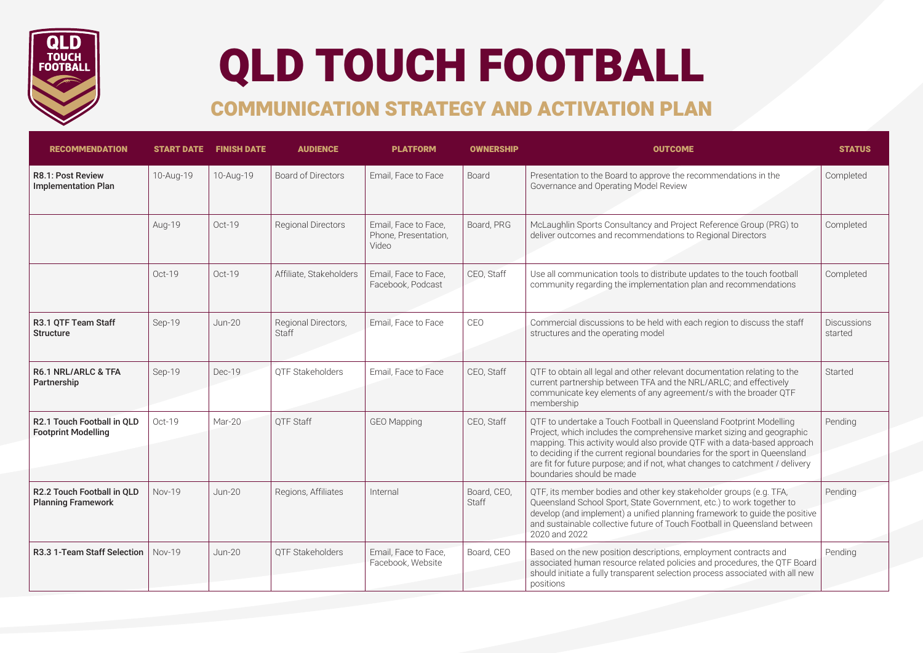

## QLD TOUCH FOOTBALL

## COMMUNICATION STRATEGY AND ACTIVATION PLAN

| <b>RECOMMENDATION</b>                                    |               | <b>START DATE FINISH DATE</b> | <b>AUDIENCE</b>              | <b>PLATFORM</b>                                       | <b>OWNERSHIP</b>            | <b>OUTCOME</b>                                                                                                                                                                                                                                                                                                                                                                                                       | <b>STATUS</b>                 |
|----------------------------------------------------------|---------------|-------------------------------|------------------------------|-------------------------------------------------------|-----------------------------|----------------------------------------------------------------------------------------------------------------------------------------------------------------------------------------------------------------------------------------------------------------------------------------------------------------------------------------------------------------------------------------------------------------------|-------------------------------|
| <b>R8.1: Post Review</b><br><b>Implementation Plan</b>   | 10-Aug-19     | 10-Aug-19                     | <b>Board of Directors</b>    | Email, Face to Face                                   | Board                       | Presentation to the Board to approve the recommendations in the<br>Governance and Operating Model Review                                                                                                                                                                                                                                                                                                             | Completed                     |
|                                                          | Aug-19        | Oct-19                        | <b>Regional Directors</b>    | Email. Face to Face.<br>Phone, Presentation,<br>Video | Board, PRG                  | McLaughlin Sports Consultancy and Project Reference Group (PRG) to<br>deliver outcomes and recommendations to Regional Directors                                                                                                                                                                                                                                                                                     | Completed                     |
|                                                          | Oct-19        | Oct-19                        | Affiliate, Stakeholders      | Email. Face to Face.<br>Facebook, Podcast             | CEO, Staff                  | Use all communication tools to distribute updates to the touch football<br>community regarding the implementation plan and recommendations                                                                                                                                                                                                                                                                           | Completed                     |
| R3.1 QTF Team Staff<br><b>Structure</b>                  | Sep-19        | <b>Jun-20</b>                 | Regional Directors,<br>Staff | Email, Face to Face                                   | CEO                         | Commercial discussions to be held with each region to discuss the staff<br>structures and the operating model                                                                                                                                                                                                                                                                                                        | <b>Discussions</b><br>started |
| <b>R6.1 NRL/ARLC &amp; TFA</b><br>Partnership            | Sep-19        | Dec-19                        | OTF Stakeholders             | Email, Face to Face                                   | CEO, Staff                  | QTF to obtain all legal and other relevant documentation relating to the<br>current partnership between TFA and the NRL/ARLC; and effectively<br>communicate key elements of any agreement/s with the broader QTF<br>membership                                                                                                                                                                                      | Started                       |
| R2.1 Touch Football in OLD<br><b>Footprint Modelling</b> | Oct-19        | Mar-20                        | OTF Staff                    | <b>GEO Mapping</b>                                    | CEO, Staff                  | QTF to undertake a Touch Football in Queensland Footprint Modelling<br>Project, which includes the comprehensive market sizing and geographic<br>mapping. This activity would also provide QTF with a data-based approach<br>to deciding if the current regional boundaries for the sport in Queensland<br>are fit for future purpose; and if not, what changes to catchment / delivery<br>boundaries should be made | Pending                       |
| R2.2 Touch Football in OLD<br><b>Planning Framework</b>  | <b>Nov-19</b> | $Jun-20$                      | Regions, Affiliates          | Internal                                              | Board, CEO,<br><b>Staff</b> | QTF, its member bodies and other key stakeholder groups (e.g. TFA,<br>Queensland School Sport, State Government, etc.) to work together to<br>develop (and implement) a unified planning framework to guide the positive<br>and sustainable collective future of Touch Football in Queensland between<br>2020 and 2022                                                                                               | Pending                       |
| R3.3 1-Team Staff Selection                              | <b>Nov-19</b> | <b>Jun-20</b>                 | OTF Stakeholders             | Email, Face to Face,<br>Facebook, Website             | Board, CEO                  | Based on the new position descriptions, employment contracts and<br>associated human resource related policies and procedures, the QTF Board<br>should initiate a fully transparent selection process associated with all new<br>positions                                                                                                                                                                           | Pending                       |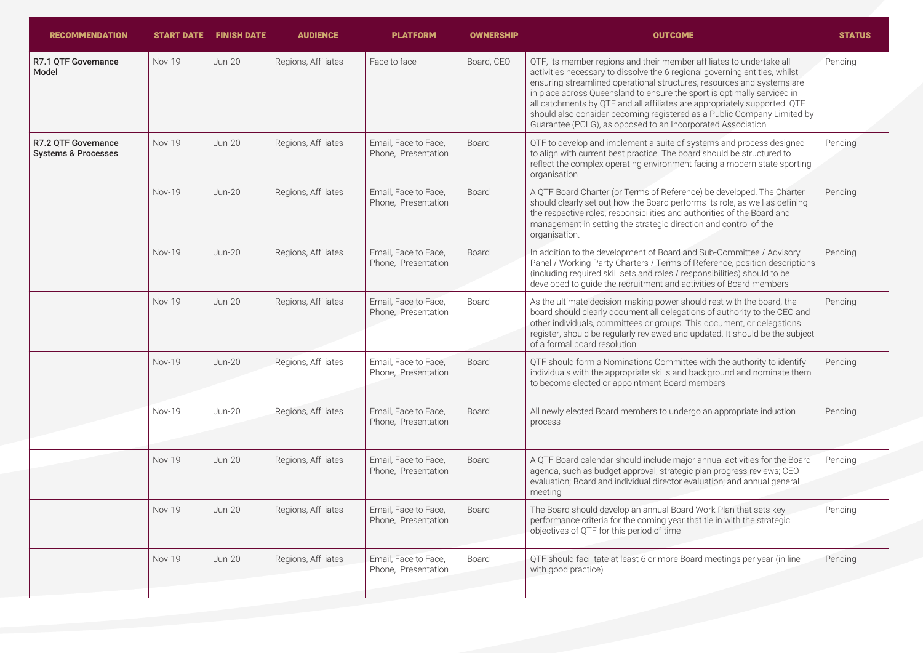| <b>RECOMMENDATION</b>                                 |               | <b>START DATE FINISH DATE</b> | <b>AUDIENCE</b>     | <b>PLATFORM</b>                             | <b>OWNERSHIP</b> | <b>OUTCOME</b>                                                                                                                                                                                                                                                                                                                                                                                                                                                                                                                 | <b>STATUS</b> |
|-------------------------------------------------------|---------------|-------------------------------|---------------------|---------------------------------------------|------------------|--------------------------------------------------------------------------------------------------------------------------------------------------------------------------------------------------------------------------------------------------------------------------------------------------------------------------------------------------------------------------------------------------------------------------------------------------------------------------------------------------------------------------------|---------------|
| R7.1 OTF Governance<br>Model                          | Nov-19        | <b>Jun-20</b>                 | Regions, Affiliates | Face to face                                | Board, CEO       | QTF, its member regions and their member affiliates to undertake all<br>activities necessary to dissolve the 6 regional governing entities, whilst<br>ensuring streamlined operational structures, resources and systems are<br>in place across Queensland to ensure the sport is optimally serviced in<br>all catchments by QTF and all affiliates are appropriately supported. QTF<br>should also consider becoming registered as a Public Company Limited by<br>Guarantee (PCLG), as opposed to an Incorporated Association | Pending       |
| R7.2 OTF Governance<br><b>Systems &amp; Processes</b> | <b>Nov-19</b> | <b>Jun-20</b>                 | Regions, Affiliates | Email, Face to Face,<br>Phone, Presentation | Board            | QTF to develop and implement a suite of systems and process designed<br>to align with current best practice. The board should be structured to<br>reflect the complex operating environment facing a modern state sporting<br>organisation                                                                                                                                                                                                                                                                                     | Pending       |
|                                                       | Nov-19        | <b>Jun-20</b>                 | Regions, Affiliates | Email. Face to Face.<br>Phone, Presentation | Board            | A QTF Board Charter (or Terms of Reference) be developed. The Charter<br>should clearly set out how the Board performs its role, as well as defining<br>the respective roles, responsibilities and authorities of the Board and<br>management in setting the strategic direction and control of the<br>organisation.                                                                                                                                                                                                           | Pending       |
|                                                       | <b>Nov-19</b> | $Jun-20$                      | Regions, Affiliates | Email, Face to Face,<br>Phone, Presentation | Board            | In addition to the development of Board and Sub-Committee / Advisory<br>Panel / Working Party Charters / Terms of Reference, position descriptions<br>(including required skill sets and roles / responsibilities) should to be<br>developed to guide the recruitment and activities of Board members                                                                                                                                                                                                                          | Pending       |
|                                                       | Nov-19        | <b>Jun-20</b>                 | Regions, Affiliates | Email. Face to Face.<br>Phone, Presentation | Board            | As the ultimate decision-making power should rest with the board, the<br>board should clearly document all delegations of authority to the CEO and<br>other individuals, committees or groups. This document, or delegations<br>register, should be regularly reviewed and updated. It should be the subject<br>of a formal board resolution.                                                                                                                                                                                  | Pending       |
|                                                       | Nov-19        | <b>Jun-20</b>                 | Regions, Affiliates | Email, Face to Face,<br>Phone, Presentation | Board            | QTF should form a Nominations Committee with the authority to identify<br>individuals with the appropriate skills and background and nominate them<br>to become elected or appointment Board members                                                                                                                                                                                                                                                                                                                           | Pending       |
|                                                       | <b>Nov-19</b> | $Jun-20$                      | Regions, Affiliates | Email, Face to Face,<br>Phone, Presentation | <b>Board</b>     | All newly elected Board members to undergo an appropriate induction<br>process                                                                                                                                                                                                                                                                                                                                                                                                                                                 | Pending       |
|                                                       | <b>Nov-19</b> | <b>Jun-20</b>                 | Regions, Affiliates | Email, Face to Face,<br>Phone, Presentation | Board            | A QTF Board calendar should include major annual activities for the Board<br>agenda, such as budget approval; strategic plan progress reviews; CEO<br>evaluation; Board and individual director evaluation; and annual general<br>meeting                                                                                                                                                                                                                                                                                      | Pending       |
|                                                       | <b>Nov-19</b> | <b>Jun-20</b>                 | Regions, Affiliates | Email, Face to Face,<br>Phone, Presentation | Board            | The Board should develop an annual Board Work Plan that sets key<br>performance criteria for the coming year that tie in with the strategic<br>objectives of QTF for this period of time                                                                                                                                                                                                                                                                                                                                       | Pending       |
|                                                       | Nov-19        | <b>Jun-20</b>                 | Regions, Affiliates | Email, Face to Face,<br>Phone. Presentation | Board            | QTF should facilitate at least 6 or more Board meetings per year (in line<br>with good practice)                                                                                                                                                                                                                                                                                                                                                                                                                               | Pending       |